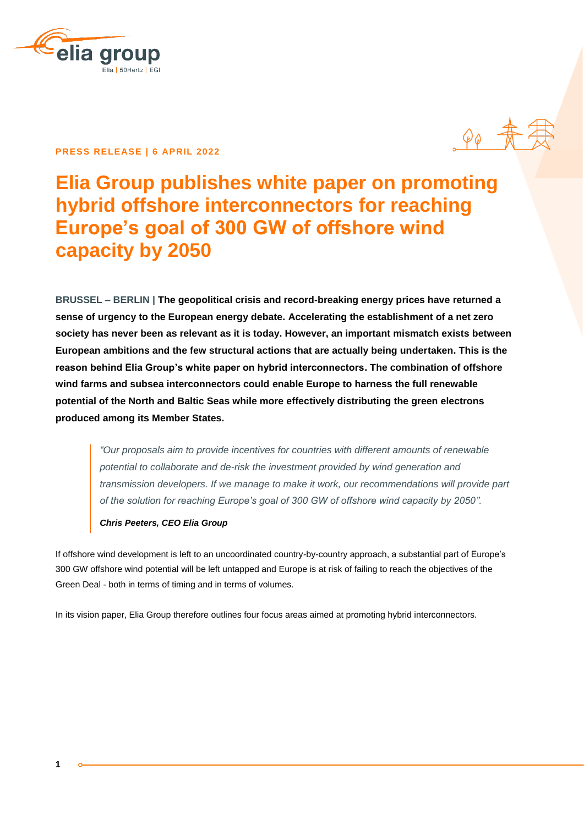

## **PRESS RELEASE | 6 APRIL 2022**



# **Elia Group publishes white paper on promoting hybrid offshore interconnectors for reaching Europe's goal of 300 GW of offshore wind capacity by 2050**

**BRUSSEL – BERLIN | The geopolitical crisis and record-breaking energy prices have returned a sense of urgency to the European energy debate. Accelerating the establishment of a net zero society has never been as relevant as it is today. However, an important mismatch exists between European ambitions and the few structural actions that are actually being undertaken. This is the reason behind Elia Group's white paper on hybrid interconnectors. The combination of offshore wind farms and subsea interconnectors could enable Europe to harness the full renewable potential of the North and Baltic Seas while more effectively distributing the green electrons produced among its Member States.**

*"Our proposals aim to provide incentives for countries with different amounts of renewable potential to collaborate and de-risk the investment provided by wind generation and transmission developers. If we manage to make it work, our recommendations will provide part of the solution for reaching Europe's goal of 300 GW of offshore wind capacity by 2050".* 

### *Chris Peeters, CEO Elia Group*

If offshore wind development is left to an uncoordinated country-by-country approach, a substantial part of Europe's 300 GW offshore wind potential will be left untapped and Europe is at risk of failing to reach the objectives of the Green Deal - both in terms of timing and in terms of volumes.

In its vision paper, Elia Group therefore outlines four focus areas aimed at promoting hybrid interconnectors.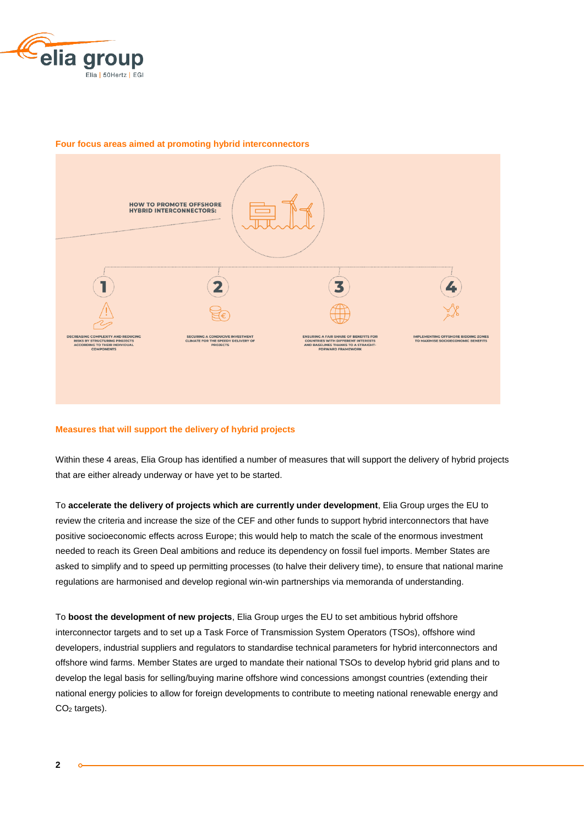



#### **Four focus areas aimed at promoting hybrid interconnectors**

#### **Measures that will support the delivery of hybrid projects**

Within these 4 areas, Elia Group has identified a number of measures that will support the delivery of hybrid projects that are either already underway or have yet to be started.

To **accelerate the delivery of projects which are currently under development**, Elia Group urges the EU to review the criteria and increase the size of the CEF and other funds to support hybrid interconnectors that have positive socioeconomic effects across Europe; this would help to match the scale of the enormous investment needed to reach its Green Deal ambitions and reduce its dependency on fossil fuel imports. Member States are asked to simplify and to speed up permitting processes (to halve their delivery time), to ensure that national marine regulations are harmonised and develop regional win-win partnerships via memoranda of understanding.

To **boost the development of new projects**, Elia Group urges the EU to set ambitious hybrid offshore interconnector targets and to set up a Task Force of Transmission System Operators (TSOs), offshore wind developers, industrial suppliers and regulators to standardise technical parameters for hybrid interconnectors and offshore wind farms. Member States are urged to mandate their national TSOs to develop hybrid grid plans and to develop the legal basis for selling/buying marine offshore wind concessions amongst countries (extending their national energy policies to allow for foreign developments to contribute to meeting national renewable energy and CO<sup>2</sup> targets).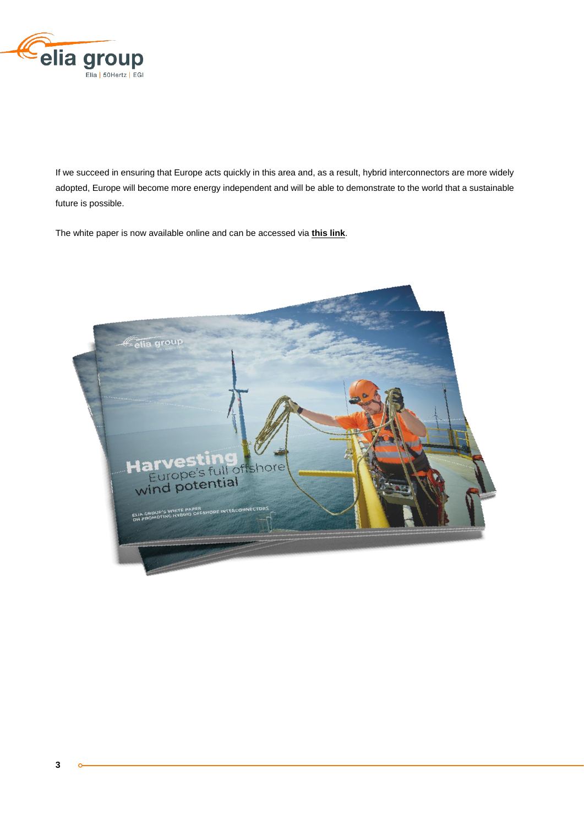

If we succeed in ensuring that Europe acts quickly in this area and, as a result, hybrid interconnectors are more widely adopted, Europe will become more energy independent and will be able to demonstrate to the world that a sustainable future is possible.

The white paper is now available online and can be accessed via **[this link](https://www.elia.be/-/media/project/elia/shared/documents/elia-group/publications/studies-and-reports/20220405_ELIA-WHITE-PAPERS-HYBRID-INTERCONNECTORS.pdf)**.